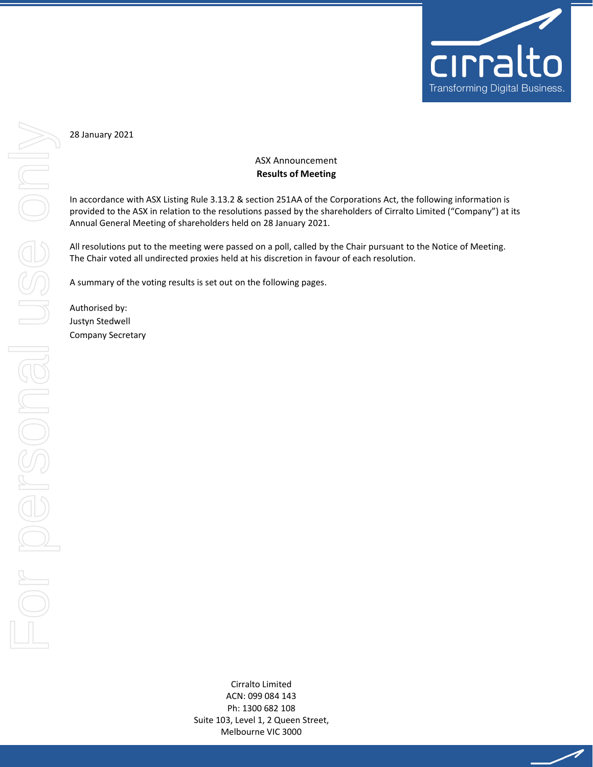

╱

28 January 2021

## ASX Announcement **Results of Meeting**

In accordance with ASX Listing Rule 3.13.2 & section 251AA of the Corporations Act, the following information is provided to the ASX in relation to the resolutions passed by the shareholders of Cirralto Limited ("Company") at its Annual General Meeting of shareholders held on 28 January 2021.

All resolutions put to the meeting were passed on a poll, called by the Chair pursuant to the Notice of Meeting. The Chair voted all undirected proxies held at his discretion in favour of each resolution.

A summary of the voting results is set out on the following pages.

Authorised by: Justyn Stedwell Company Secretary

> Cirralto Limited ACN: 099 084 143 Ph: 1300 682 108 Suite 103, Level 1, 2 Queen Street, Melbourne VIC 3000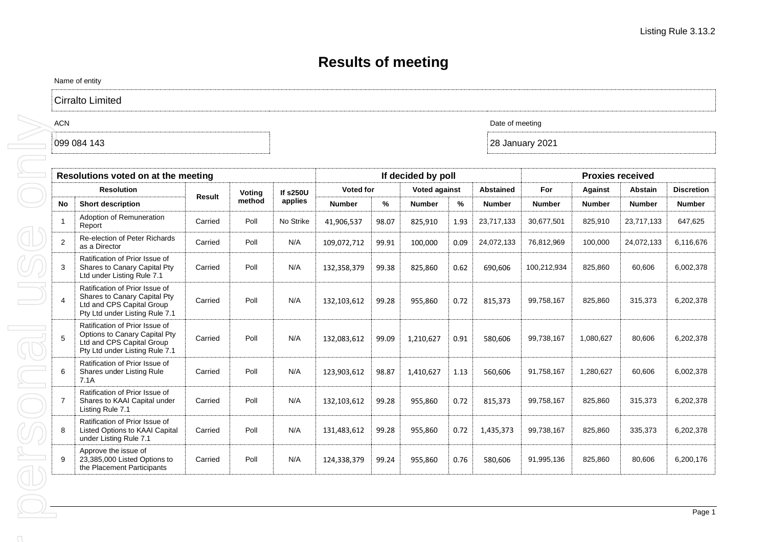## **Results of meeting**

Name of entity

Cirralto Limited

|                   | Resolutions voted on at the meeting                                                                                            |         |        | If decided by poll |                  | <b>Proxies received</b> |                      |      |                  |               |               |                |                   |
|-------------------|--------------------------------------------------------------------------------------------------------------------------------|---------|--------|--------------------|------------------|-------------------------|----------------------|------|------------------|---------------|---------------|----------------|-------------------|
| <b>Resolution</b> |                                                                                                                                |         | Voting | <b>If s250U</b>    | <b>Voted for</b> |                         | <b>Voted against</b> |      | <b>Abstained</b> | For           | Against       | <b>Abstain</b> | <b>Discretion</b> |
| No                | <b>Short description</b>                                                                                                       | Result  | method | applies            | <b>Number</b>    | %                       | <b>Number</b>        | ℅    | <b>Number</b>    | <b>Number</b> | <b>Number</b> | <b>Number</b>  | <b>Number</b>     |
|                   | Adoption of Remuneration<br>Report                                                                                             | Carried | Poll   | No Strike          | 41,906,537       | 98.07                   | 825,910              | 1.93 | 23,717,133       | 30,677,501    | 825,910       | 23,717,133     | 647,625           |
| 2                 | Re-election of Peter Richards<br>as a Director                                                                                 | Carried | Poll   | N/A                | 109,072,712      | 99.91                   | 100,000              | 0.09 | 24,072,133       | 76,812,969    | 100,000       | 24,072,133     | 6,116,676         |
| 3                 | Ratification of Prior Issue of<br>Shares to Canary Capital Pty<br>Ltd under Listing Rule 7.1                                   | Carried | Poll   | N/A                | 132,358,379      | 99.38                   | 825,860              | 0.62 | 690,606          | 100,212,934   | 825,860       | 60,606         | 6,002,378         |
| $\overline{4}$    | Ratification of Prior Issue of<br>Shares to Canary Capital Pty<br>Ltd and CPS Capital Group<br>Pty Ltd under Listing Rule 7.1  | Carried | Poll   | N/A                | 132,103,612      | 99.28                   | 955,860              | 0.72 | 815,373          | 99,758,167    | 825,860       | 315,373        | 6,202,378         |
| 5                 | Ratification of Prior Issue of<br>Options to Canary Capital Pty<br>Ltd and CPS Capital Group<br>Pty Ltd under Listing Rule 7.1 | Carried | Poll   | N/A                | 132,083,612      | 99.09                   | 1,210,627            | 0.91 | 580,606          | 99,738,167    | 1,080,627     | 80,606         | 6,202,378         |
| 6                 | Ratification of Prior Issue of<br>Shares under Listing Rule<br>7.1A                                                            | Carried | Poll   | N/A                | 123,903,612      | 98.87                   | 1,410,627            | 1.13 | 560,606          | 91,758,167    | 1,280,627     | 60,606         | 6,002,378         |
| $\overline{7}$    | Ratification of Prior Issue of<br>Shares to KAAI Capital under<br>Listing Rule 7.1                                             | Carried | Poll   | N/A                | 132,103,612      | 99.28                   | 955,860              | 0.72 | 815,373          | 99,758,167    | 825,860       | 315,373        | 6,202,378         |
| 8                 | Ratification of Prior Issue of<br>Listed Options to KAAI Capital<br>under Listing Rule 7.1                                     | Carried | Poll   | N/A                | 131,483,612      | 99.28                   | 955,860              | 0.72 | 1,435,373        | 99,738,167    | 825,860       | 335,373        | 6,202,378         |
| 9                 | Approve the issue of<br>23,385,000 Listed Options to<br>the Placement Participants                                             | Carried | Poll   | N/A                | 124,338,379      | 99.24                   | 955,860              | 0.76 | 580,606          | 91,995,136    | 825,860       | 80,606         | 6.200.176         |

ACN Date of meeting and the state of meeting and the state of meeting and the state of meeting  $\sim$ 

099 084 143 28 January 2021

 $\cap$